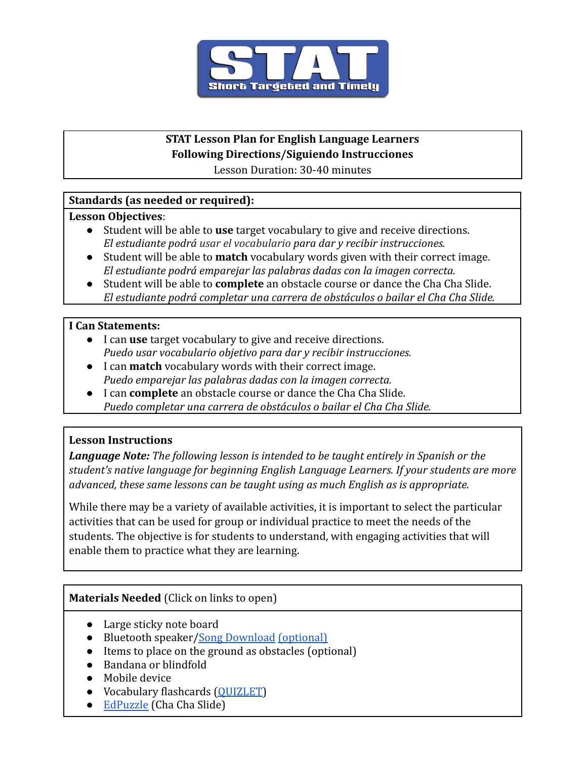

# **STAT Lesson Plan for English Language Learners Following Directions/Siguiendo Instrucciones**

Lesson Duration: 30-40 minutes

## **Standards (as needed or required):**

### **Lesson Objectives**:

- Student will be able to **use** target vocabulary to give and receive directions. *El estudiante podrá usar el vocabulario para dar y recibir instrucciones.*
- Student will be able to **match** vocabulary words given with their correct image. *El estudiante podrá emparejar las palabras dadas con la imagen correcta.*
- Student will be able to **complete** an obstacle course or dance the Cha Cha Slide. *El estudiante podrá completar una carrera de obstáculos o bailar el Cha Cha Slide.*

### **I Can Statements:**

- I can **use** target vocabulary to give and receive directions. *Puedo usar vocabulario objetivo para dar y recibir instrucciones.*
- I can **match** vocabulary words with their correct image. *Puedo emparejar las palabras dadas con la imagen correcta.*
- I can **complete** an obstacle course or dance the Cha Cha Slide. *Puedo completar una carrera de obstáculos o bailar el Cha Cha Slide.*

## **Lesson Instructions**

*Language Note: The following lesson is intended to be taught entirely in Spanish or the student's native language for beginning English Language Learners. If your students are more advanced, these same lessons can be taught using as much English as is appropriate.*

While there may be a variety of available activities, it is important to select the particular activities that can be used for group or individual practice to meet the needs of the students. The objective is for students to understand, with engaging activities that will enable them to practice what they are learning.

### **Materials Needed** (Click on links to open)

- Large sticky note board
- Bluetooth speaker[/Song Download](https://www.youtube.com/watch?v=wZv62ShoStY) [\(optional\)](https://www.youtube.com/watch?v=wZv62ShoStY)
- Items to place on the ground as obstacles (optional)
- Bandana or blindfold
- Mobile device
- Vocabulary flashcards (OUIZLET)
- [EdPuzzle](https://edpuzzle.com/assignments/61b0d8e12d78ba42ce7de686/watch) (Cha Cha Slide)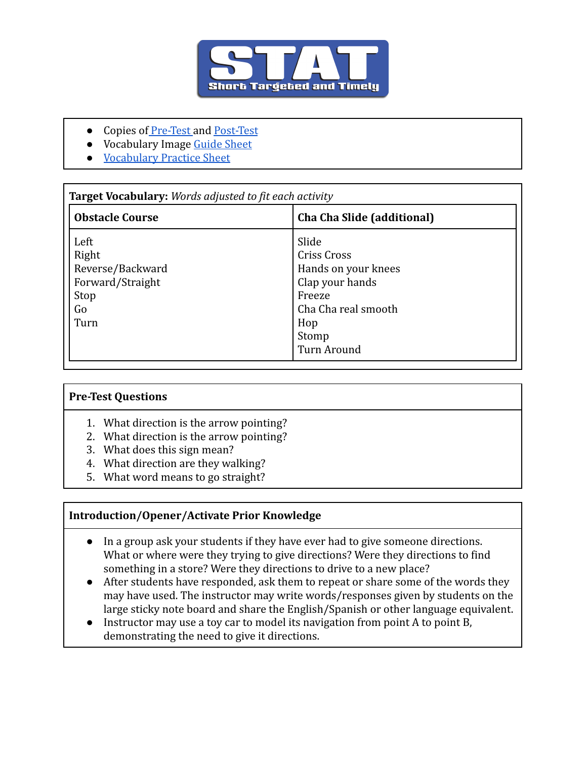

- Copies of [Pre-Test](https://docs.google.com/document/d/1VhJXj9V_177yR6DNG2RVUHG1bHjL89OJeSkAY4oTfKg/edit) and [Post-Test](https://docs.google.com/document/d/1OBol99Fq-O3B-P3-PNI2rtaYMRqyPNClPwYkbJ8DmJ4/edit?usp=sharing)
- Vocabulary Image [Guide Sheet](https://docs.google.com/document/d/1Ve8aVOrbqLLK1U_fkKS7br_wpS8uKcEiVn2KHZgE7i0/edit)
- [Vocabulary Practice Sheet](https://docs.google.com/document/d/14Ba3U8rZR7NhfvQZMdWYE613RzhtJ7wVRKjIEf_Ya2U/edit)

| <b>Obstacle Course</b> | Cha Cha Slide (additional) |
|------------------------|----------------------------|
| Left                   | Slide                      |
| Right                  | Criss Cross                |
| Reverse/Backward       | Hands on your knees        |
| Forward/Straight       | Clap your hands            |
| Stop                   | Freeze                     |
| Go                     | Cha Cha real smooth        |
| Turn                   | Hop                        |
|                        | Stomp                      |
|                        | <b>Turn Around</b>         |

### **Pre-Test Questions**

- 1. What direction is the arrow pointing?
- 2. What direction is the arrow pointing?
- 3. What does this sign mean?
- 4. What direction are they walking?
- 5. What word means to go straight?

#### **Introduction/Opener/Activate Prior Knowledge**

- In a group ask your students if they have ever had to give someone directions. What or where were they trying to give directions? Were they directions to find something in a store? Were they directions to drive to a new place?
- After students have responded, ask them to repeat or share some of the words they may have used. The instructor may write words/responses given by students on the large sticky note board and share the English/Spanish or other language equivalent.
- Instructor may use a toy car to model its navigation from point A to point B, demonstrating the need to give it directions.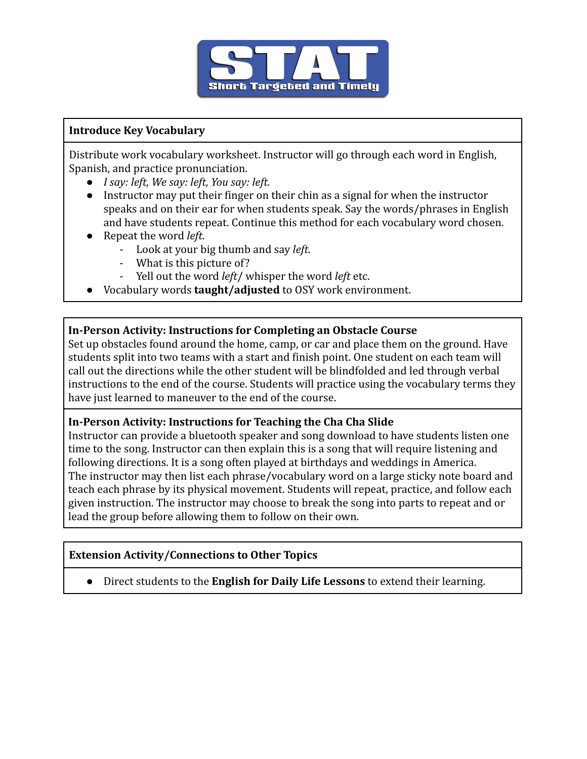

### **Introduce Key Vocabulary**

Distribute work vocabulary worksheet. Instructor will go through each word in English, Spanish, and practice pronunciation.

- *I say: left, We say: left, You say: left.*
- *●* Instructor may put their finger on their chin as a signal for when the instructor speaks and on their ear for when students speak. Say the words/phrases in English and have students repeat. Continue this method for each vocabulary word chosen.
- *●* Repeat the word *left.*
	- Look at your big thumb and say *left.*
	- What is this picture of?
	- Yell out the word *left*/ whisper the word *left* etc.
- *●* Vocabulary words **taught/adjusted** to OSY work environment.

### **In-Person Activity: Instructions for Completing an Obstacle Course**

Set up obstacles found around the home, camp, or car and place them on the ground. Have students split into two teams with a start and finish point. One student on each team will call out the directions while the other student will be blindfolded and led through verbal instructions to the end of the course. Students will practice using the vocabulary terms they have just learned to maneuver to the end of the course.

### **In-Person Activity: Instructions for Teaching the Cha Cha Slide**

Instructor can provide a bluetooth speaker and song download to have students listen one time to the song. Instructor can then explain this is a song that will require listening and following directions. It is a song often played at birthdays and weddings in America. The instructor may then list each phrase/vocabulary word on a large sticky note board and teach each phrase by its physical movement. Students will repeat, practice, and follow each given instruction. The instructor may choose to break the song into parts to repeat and or lead the group before allowing them to follow on their own.

### **Extension Activity/Connections to Other Topics**

● Direct students to the **English for Daily Life Lessons** to extend their learning.